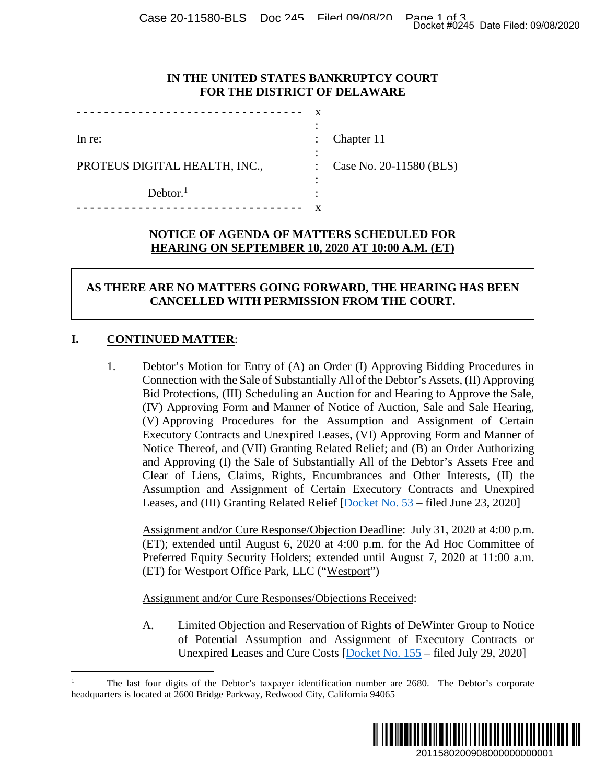### **IN THE UNITED STATES BANKRUPTCY COURT FOR THE DISTRICT OF DELAWARE**

|                               | ٠                         |                         |
|-------------------------------|---------------------------|-------------------------|
| In re:                        | $\mathbb{Z}^{\mathbb{Z}}$ | Chapter 11              |
|                               | ٠                         |                         |
| PROTEUS DIGITAL HEALTH, INC., | $\mathbb{R}^{\mathbb{Z}}$ | Case No. 20-11580 (BLS) |
|                               |                           |                         |
| Dektor. <sup>1</sup>          | ٠                         |                         |
|                               |                           |                         |

## **NOTICE OF AGENDA OF MATTERS SCHEDULED FOR HEARING ON SEPTEMBER 10, 2020 AT 10:00 A.M. (ET)**

# **AS THERE ARE NO MATTERS GOING FORWARD, THE HEARING HAS BEEN CANCELLED WITH PERMISSION FROM THE COURT.**

# **I. CONTINUED MATTER**:

1. Debtor's Motion for Entry of (A) an Order (I) Approving Bidding Procedures in Connection with the Sale of Substantially All of the Debtor's Assets, (II) Approving Bid Protections, (III) Scheduling an Auction for and Hearing to Approve the Sale, (IV) Approving Form and Manner of Notice of Auction, Sale and Sale Hearing, (V) Approving Procedures for the Assumption and Assignment of Certain Executory Contracts and Unexpired Leases, (VI) Approving Form and Manner of Notice Thereof, and (VII) Granting Related Relief; and (B) an Order Authorizing and Approving (I) the Sale of Substantially All of the Debtor's Assets Free and Clear of Liens, Claims, Rights, Encumbrances and Other Interests, (II) the Assumption and Assignment of Certain Executory Contracts and Unexpired Leases, and (III) Granting Related Relief [Docket No. 53 – filed June 23, 2020] Docket #0245 Date Filed: 09/08/2020<br>
2011 CIRT<br>
2011 CIRT<br>
2011 CIRT<br>
2011 CIRT<br>
2011 CIRT<br>
2011 CIRT<br>
2011 CIRT<br>
2011 CIRT<br>
2011 CIRT<br>
2020 at 4:00 p.m.<br>
2011 CIRT<br>
2012 CIRT<br>
2012 CIRT<br>
2012 CIRT<br>
2012 CIRT<br>
2012 CIRT<br>

Assignment and/or Cure Response/Objection Deadline: July 31, 2020 at 4:00 p.m. (ET); extended until August 6, 2020 at 4:00 p.m. for the Ad Hoc Committee of Preferred Equity Security Holders; extended until August 7, 2020 at 11:00 a.m. (ET) for Westport Office Park, LLC ("Westport")

Assignment and/or Cure Responses/Objections Received:

A. Limited Objection and Reservation of Rights of DeWinter Group to Notice of Potential Assumption and Assignment of Executory Contracts or Unexpired Leases and Cure Costs [Docket No. 155 – filed July 29, 2020]

<sup>1</sup> The last four digits of the Debtor's taxpayer identification number are 2680. The Debtor's corporate headquarters is located at 2600 Bridge Parkway, Redwood City, California 94065

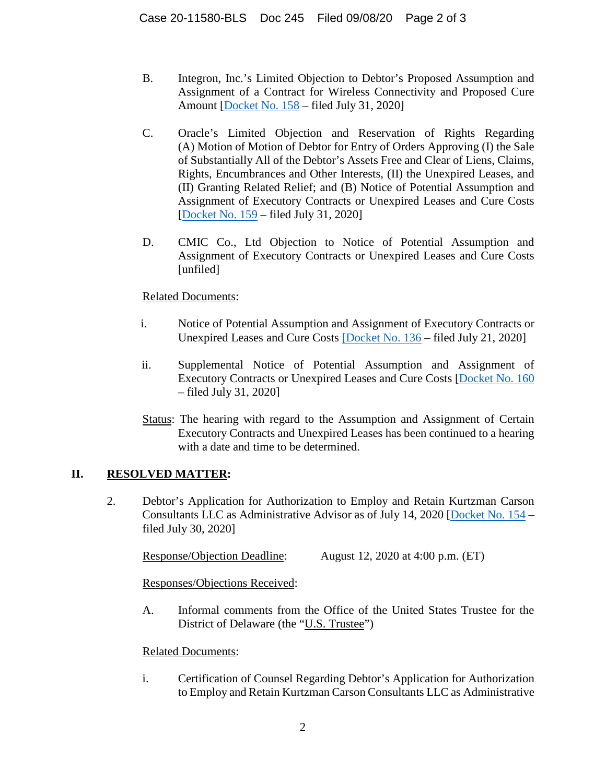- B. Integron, Inc.'s Limited Objection to Debtor's Proposed Assumption and Assignment of a Contract for Wireless Connectivity and Proposed Cure Amount [Docket No. 158 – filed July 31, 2020]
- C. Oracle's Limited Objection and Reservation of Rights Regarding (A) Motion of Motion of Debtor for Entry of Orders Approving (I) the Sale of Substantially All of the Debtor's Assets Free and Clear of Liens, Claims, Rights, Encumbrances and Other Interests, (II) the Unexpired Leases, and (II) Granting Related Relief; and (B) Notice of Potential Assumption and Assignment of Executory Contracts or Unexpired Leases and Cure Costs [Docket No. 159 – filed July 31, 2020]
- D. CMIC Co., Ltd Objection to Notice of Potential Assumption and Assignment of Executory Contracts or Unexpired Leases and Cure Costs [unfiled]

### Related Documents:

- i. Notice of Potential Assumption and Assignment of Executory Contracts or Unexpired Leases and Cure Costs [Docket No. 136 – filed July 21, 2020]
- ii. Supplemental Notice of Potential Assumption and Assignment of Executory Contracts or Unexpired Leases and Cure Costs [Docket No. 160 – filed July 31, 2020]
- Status: The hearing with regard to the Assumption and Assignment of Certain Executory Contracts and Unexpired Leases has been continued to a hearing with a date and time to be determined.

# **II. RESOLVED MATTER:**

2. Debtor's Application for Authorization to Employ and Retain Kurtzman Carson Consultants LLC as Administrative Advisor as of July 14, 2020 [Docket No. 154 – filed July 30, 2020]

Response/Objection Deadline: August 12, 2020 at 4:00 p.m. (ET)

Responses/Objections Received:

A. Informal comments from the Office of the United States Trustee for the District of Delaware (the "U.S. Trustee")

#### Related Documents:

i. Certification of Counsel Regarding Debtor's Application for Authorization to Employ and Retain Kurtzman Carson Consultants LLC as Administrative